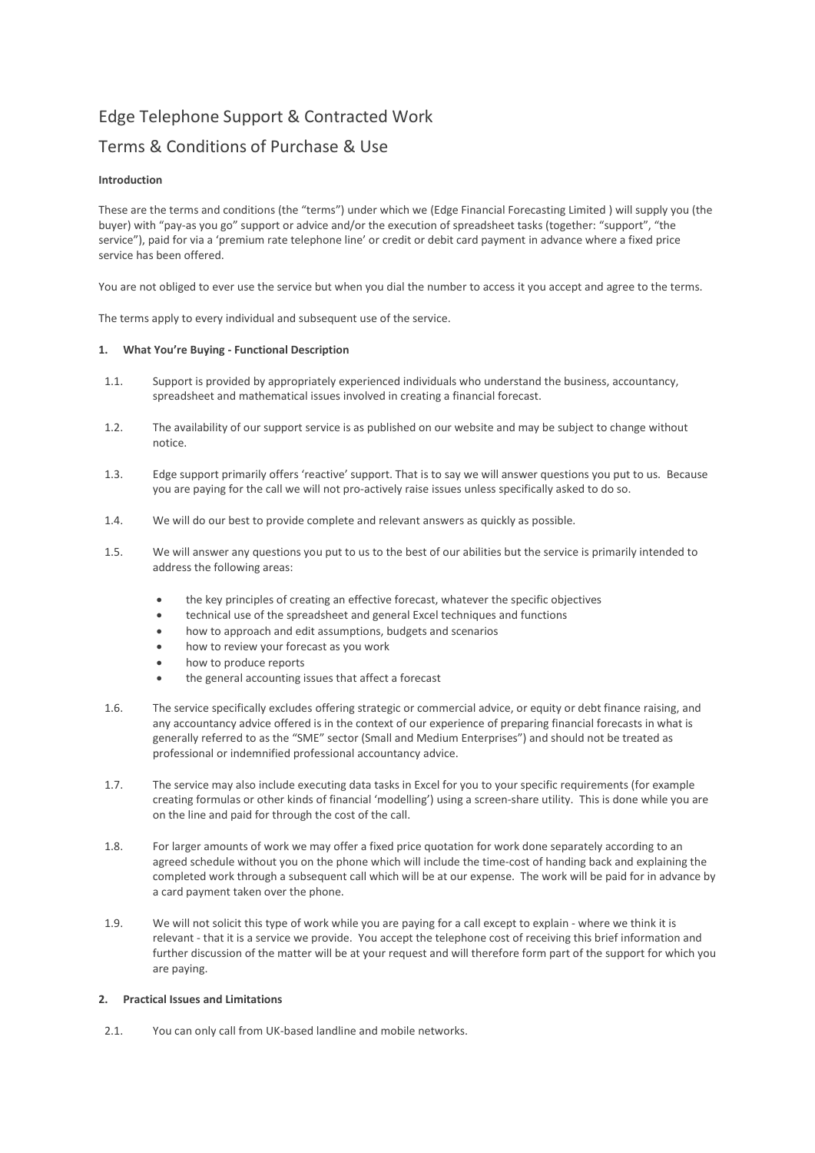# Edge Telephone Support & Contracted Work Terms & Conditions of Purchase & Use

# **Introduction**

These are the terms and conditions (the "terms") under which we (Edge Financial Forecasting Limited ) will supply you (the buyer) with "pay-as you go" support or advice and/or the execution of spreadsheet tasks (together: "support", "the service"), paid for via a 'premium rate telephone line' or credit or debit card payment in advance where a fixed price service has been offered.

You are not obliged to ever use the service but when you dial the number to access it you accept and agree to the terms.

The terms apply to every individual and subsequent use of the service.

## **1. What You're Buying - Functional Description**

- 1.1. Support is provided by appropriately experienced individuals who understand the business, accountancy, spreadsheet and mathematical issues involved in creating a financial forecast.
- 1.2. The availability of our support service is as published on our website and may be subject to change without notice.
- 1.3. Edge support primarily offers 'reactive' support. That is to say we will answer questions you put to us. Because you are paying for the call we will not pro-actively raise issues unless specifically asked to do so.
- 1.4. We will do our best to provide complete and relevant answers as quickly as possible.
- 1.5. We will answer any questions you put to us to the best of our abilities but the service is primarily intended to address the following areas:
	- the key principles of creating an effective forecast, whatever the specific objectives
	- technical use of the spreadsheet and general Excel techniques and functions
	- how to approach and edit assumptions, budgets and scenarios
	- how to review your forecast as you work
	- how to produce reports
	- the general accounting issues that affect a forecast
- 1.6. The service specifically excludes offering strategic or commercial advice, or equity or debt finance raising, and any accountancy advice offered is in the context of our experience of preparing financial forecasts in what is generally referred to as the "SME" sector (Small and Medium Enterprises") and should not be treated as professional or indemnified professional accountancy advice.
- 1.7. The service may also include executing data tasks in Excel for you to your specific requirements (for example creating formulas or other kinds of financial 'modelling') using a screen-share utility. This is done while you are on the line and paid for through the cost of the call.
- 1.8. For larger amounts of work we may offer a fixed price quotation for work done separately according to an agreed schedule without you on the phone which will include the time-cost of handing back and explaining the completed work through a subsequent call which will be at our expense. The work will be paid for in advance by a card payment taken over the phone.
- 1.9. We will not solicit this type of work while you are paying for a call except to explain where we think it is relevant - that it is a service we provide. You accept the telephone cost of receiving this brief information and further discussion of the matter will be at your request and will therefore form part of the support for which you are paying.

## **2. Practical Issues and Limitations**

2.1. You can only call from UK-based landline and mobile networks.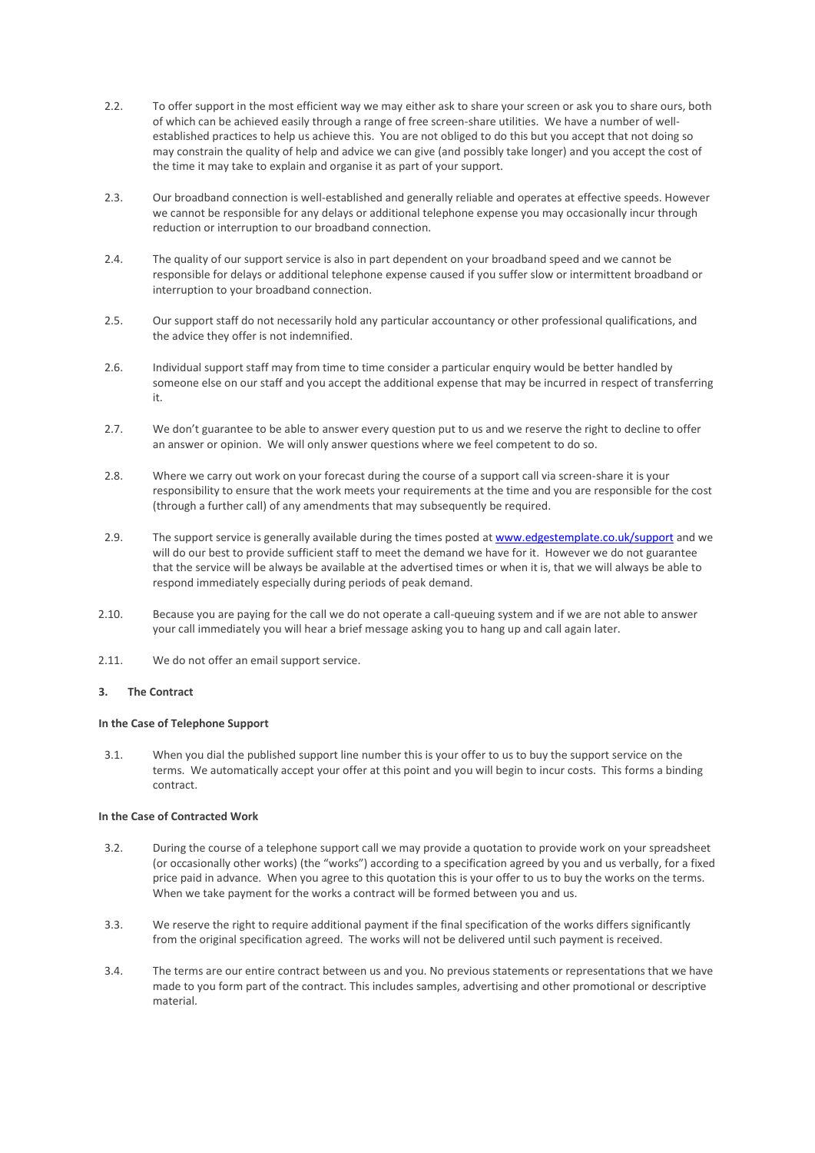- 2.2. To offer support in the most efficient way we may either ask to share your screen or ask you to share ours, both of which can be achieved easily through a range of free screen-share utilities. We have a number of wellestablished practices to help us achieve this. You are not obliged to do this but you accept that not doing so may constrain the quality of help and advice we can give (and possibly take longer) and you accept the cost of the time it may take to explain and organise it as part of your support.
- 2.3. Our broadband connection is well-established and generally reliable and operates at effective speeds. However we cannot be responsible for any delays or additional telephone expense you may occasionally incur through reduction or interruption to our broadband connection.
- 2.4. The quality of our support service is also in part dependent on your broadband speed and we cannot be responsible for delays or additional telephone expense caused if you suffer slow or intermittent broadband or interruption to your broadband connection.
- 2.5. Our support staff do not necessarily hold any particular accountancy or other professional qualifications, and the advice they offer is not indemnified.
- 2.6. Individual support staff may from time to time consider a particular enquiry would be better handled by someone else on our staff and you accept the additional expense that may be incurred in respect of transferring it.
- 2.7. We don't guarantee to be able to answer every question put to us and we reserve the right to decline to offer an answer or opinion. We will only answer questions where we feel competent to do so.
- 2.8. Where we carry out work on your forecast during the course of a support call via screen-share it is your responsibility to ensure that the work meets your requirements at the time and you are responsible for the cost (through a further call) of any amendments that may subsequently be required.
- 2.9. The support service is generally available during the times posted at **www.edgestemplate.co.uk/support** and we will do our best to provide sufficient staff to meet the demand we have for it. However we do not guarantee that the service will be always be available at the advertised times or when it is, that we will always be able to respond immediately especially during periods of peak demand.
- 2.10. Because you are paying for the call we do not operate a call-queuing system and if we are not able to answer your call immediately you will hear a brief message asking you to hang up and call again later.
- 2.11. We do not offer an email support service.

## **3. The Contract**

# **In the Case of Telephone Support**

3.1. When you dial the published support line number this is your offer to us to buy the support service on the terms. We automatically accept your offer at this point and you will begin to incur costs. This forms a binding contract.

# **In the Case of Contracted Work**

- 3.2. During the course of a telephone support call we may provide a quotation to provide work on your spreadsheet (or occasionally other works) (the "works") according to a specification agreed by you and us verbally, for a fixed price paid in advance. When you agree to this quotation this is your offer to us to buy the works on the terms. When we take payment for the works a contract will be formed between you and us.
- 3.3. We reserve the right to require additional payment if the final specification of the works differs significantly from the original specification agreed. The works will not be delivered until such payment is received.
- 3.4. The terms are our entire contract between us and you. No previous statements or representations that we have made to you form part of the contract. This includes samples, advertising and other promotional or descriptive material.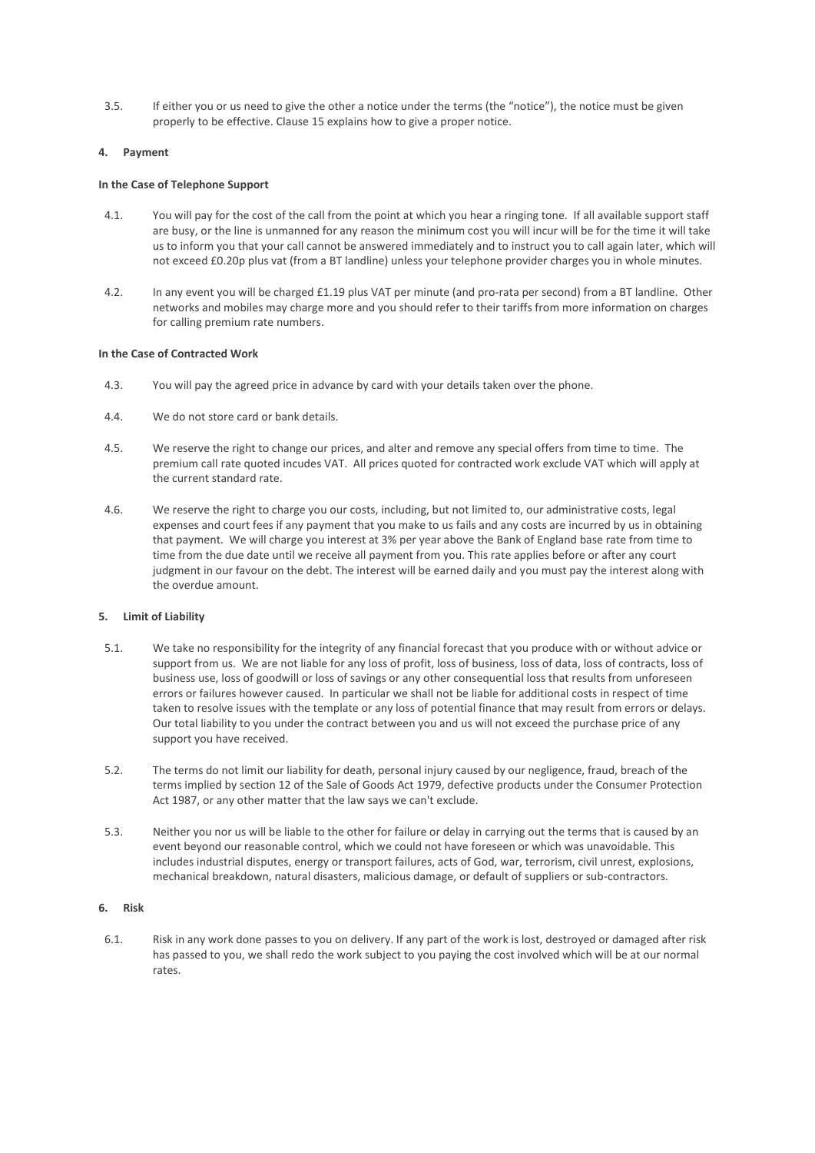3.5. If either you or us need to give the other a notice under the terms (the "notice"), the notice must be given properly to be effective. Clause 15 explains how to give a proper notice.

#### **4. Payment**

#### **In the Case of Telephone Support**

- 4.1. You will pay for the cost of the call from the point at which you hear a ringing tone. If all available support staff are busy, or the line is unmanned for any reason the minimum cost you will incur will be for the time it will take us to inform you that your call cannot be answered immediately and to instruct you to call again later, which will not exceed £0.20p plus vat (from a BT landline) unless your telephone provider charges you in whole minutes.
- 4.2. In any event you will be charged £1.19 plus VAT per minute (and pro-rata per second) from a BT landline. Other networks and mobiles may charge more and you should refer to their tariffs from more information on charges for calling premium rate numbers.

## **In the Case of Contracted Work**

- 4.3. You will pay the agreed price in advance by card with your details taken over the phone.
- 4.4. We do not store card or bank details.
- 4.5. We reserve the right to change our prices, and alter and remove any special offers from time to time. The premium call rate quoted incudes VAT. All prices quoted for contracted work exclude VAT which will apply at the current standard rate.
- 4.6. We reserve the right to charge you our costs, including, but not limited to, our administrative costs, legal expenses and court fees if any payment that you make to us fails and any costs are incurred by us in obtaining that payment. We will charge you interest at 3% per year above the Bank of England base rate from time to time from the due date until we receive all payment from you. This rate applies before or after any court judgment in our favour on the debt. The interest will be earned daily and you must pay the interest along with the overdue amount.

#### **5. Limit of Liability**

- 5.1. We take no responsibility for the integrity of any financial forecast that you produce with or without advice or support from us. We are not liable for any loss of profit, loss of business, loss of data, loss of contracts, loss of business use, loss of goodwill or loss of savings or any other consequential loss that results from unforeseen errors or failures however caused. In particular we shall not be liable for additional costs in respect of time taken to resolve issues with the template or any loss of potential finance that may result from errors or delays. Our total liability to you under the contract between you and us will not exceed the purchase price of any support you have received.
- 5.2. The terms do not limit our liability for death, personal injury caused by our negligence, fraud, breach of the terms implied by section 12 of the Sale of Goods Act 1979, defective products under the Consumer Protection Act 1987, or any other matter that the law says we can't exclude.
- 5.3. Neither you nor us will be liable to the other for failure or delay in carrying out the terms that is caused by an event beyond our reasonable control, which we could not have foreseen or which was unavoidable. This includes industrial disputes, energy or transport failures, acts of God, war, terrorism, civil unrest, explosions, mechanical breakdown, natural disasters, malicious damage, or default of suppliers or sub-contractors.

#### **6. Risk**

6.1. Risk in any work done passes to you on delivery. If any part of the work is lost, destroyed or damaged after risk has passed to you, we shall redo the work subject to you paying the cost involved which will be at our normal rates.